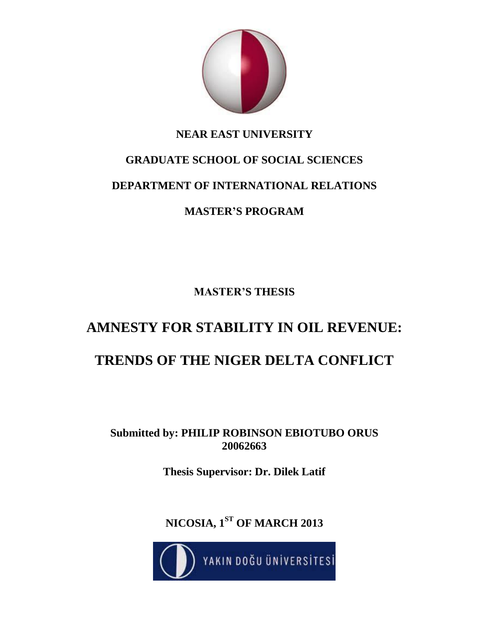

# **NEAR EAST UNIVERSITY**

# **GRADUATE SCHOOL OF SOCIAL SCIENCES DEPARTMENT OF INTERNATIONAL RELATIONS**

# **MASTER'S PROGRAM**

**MASTER'S THESIS**

# **AMNESTY FOR STABILITY IN OIL REVENUE: TRENDS OF THE NIGER DELTA CONFLICT**

**Submitted by: PHILIP ROBINSON EBIOTUBO ORUS 20062663**

**Thesis Supervisor: Dr. Dilek Latif**

**NICOSIA, 1ST OF MARCH 2013**

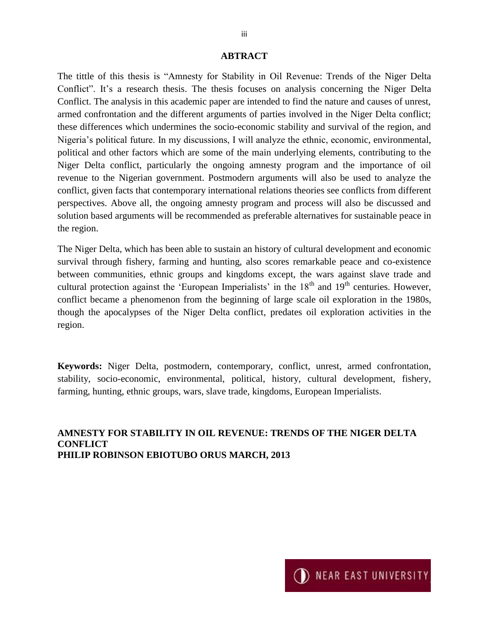#### **ABTRACT**

The tittle of this thesis is "Amnesty for Stability in Oil Revenue: Trends of the Niger Delta Conflict". It's a research thesis. The thesis focuses on analysis concerning the Niger Delta Conflict. The analysis in this academic paper are intended to find the nature and causes of unrest, armed confrontation and the different arguments of parties involved in the Niger Delta conflict; these differences which undermines the socio-economic stability and survival of the region, and Nigeria's political future. In my discussions, I will analyze the ethnic, economic, environmental, political and other factors which are some of the main underlying elements, contributing to the Niger Delta conflict, particularly the ongoing amnesty program and the importance of oil revenue to the Nigerian government. Postmodern arguments will also be used to analyze the conflict, given facts that contemporary international relations theories see conflicts from different perspectives. Above all, the ongoing amnesty program and process will also be discussed and solution based arguments will be recommended as preferable alternatives for sustainable peace in the region.

The Niger Delta, which has been able to sustain an history of cultural development and economic survival through fishery, farming and hunting, also scores remarkable peace and co-existence between communities, ethnic groups and kingdoms except, the wars against slave trade and cultural protection against the 'European Imperialists' in the 18<sup>th</sup> and 19<sup>th</sup> centuries. However, conflict became a phenomenon from the beginning of large scale oil exploration in the 1980s, though the apocalypses of the Niger Delta conflict, predates oil exploration activities in the region.

**Keywords:** Niger Delta, postmodern, contemporary, conflict, unrest, armed confrontation, stability, socio-economic, environmental, political, history, cultural development, fishery, farming, hunting, ethnic groups, wars, slave trade, kingdoms, European Imperialists.

#### **AMNESTY FOR STABILITY IN OIL REVENUE: TRENDS OF THE NIGER DELTA CONFLICT PHILIP ROBINSON EBIOTUBO ORUS MARCH, 2013**

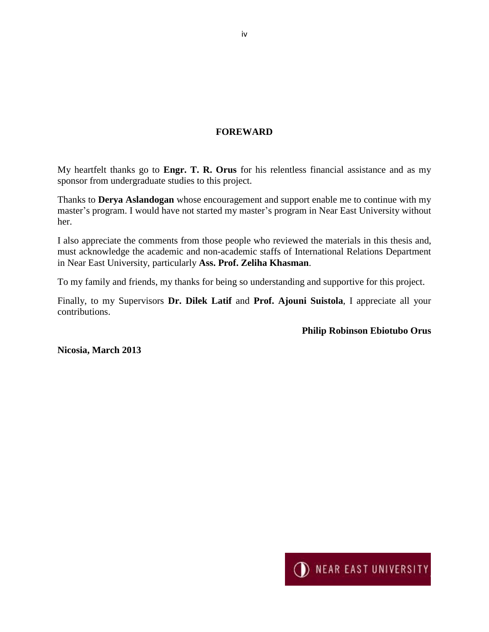#### **FOREWARD**

My heartfelt thanks go to **Engr. T. R. Orus** for his relentless financial assistance and as my sponsor from undergraduate studies to this project.

Thanks to **Derya Aslandogan** whose encouragement and support enable me to continue with my master's program. I would have not started my master's program in Near East University without her.

I also appreciate the comments from those people who reviewed the materials in this thesis and, must acknowledge the academic and non-academic staffs of International Relations Department in Near East University, particularly **Ass. Prof. Zeliha Khasman**.

To my family and friends, my thanks for being so understanding and supportive for this project.

Finally, to my Supervisors **Dr. Dilek Latif** and **Prof. Ajouni Suistola**, I appreciate all your contributions.

**Philip Robinson Ebiotubo Orus**

**Nicosia, March 2013**

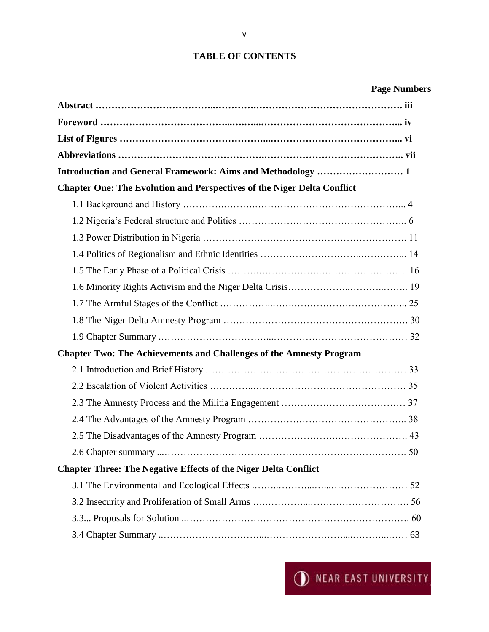#### **TABLE OF CONTENTS**

|  | <b>Page Numbers</b> |
|--|---------------------|
|--|---------------------|

| Introduction and General Framework: Aims and Methodology  1                    |  |
|--------------------------------------------------------------------------------|--|
| <b>Chapter One: The Evolution and Perspectives of the Niger Delta Conflict</b> |  |
|                                                                                |  |
|                                                                                |  |
|                                                                                |  |
|                                                                                |  |
|                                                                                |  |
|                                                                                |  |
|                                                                                |  |
|                                                                                |  |
|                                                                                |  |
| <b>Chapter Two: The Achievements and Challenges of the Amnesty Program</b>     |  |
|                                                                                |  |
|                                                                                |  |
|                                                                                |  |
|                                                                                |  |
|                                                                                |  |
|                                                                                |  |
| <b>Chapter Three: The Negative Effects of the Niger Delta Conflict</b>         |  |
|                                                                                |  |
|                                                                                |  |
|                                                                                |  |
|                                                                                |  |

v

**I** NEAR EAST UNIVERSITY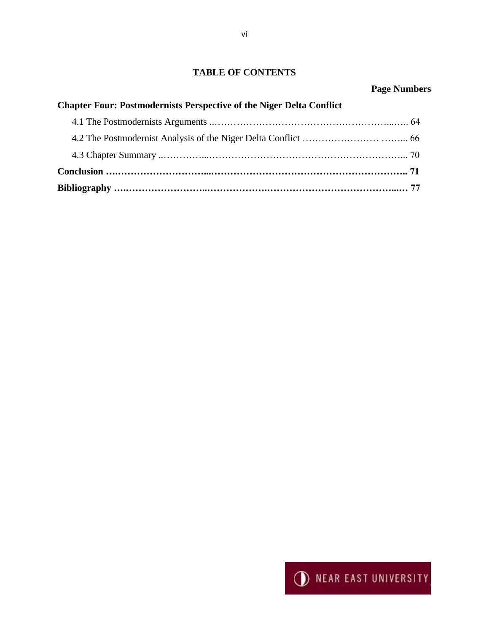### **TABLE OF CONTENTS**

| <b>Chapter Four: Postmodernists Perspective of the Niger Delta Conflict</b> | 1.001110010 |  |
|-----------------------------------------------------------------------------|-------------|--|
|                                                                             |             |  |
|                                                                             |             |  |
|                                                                             |             |  |
|                                                                             |             |  |
|                                                                             |             |  |

**Bibliography ….……………………..……………….…………………………………...… 77**

#### **Page Numbers**

**I** NEAR EAST UNIVERSITY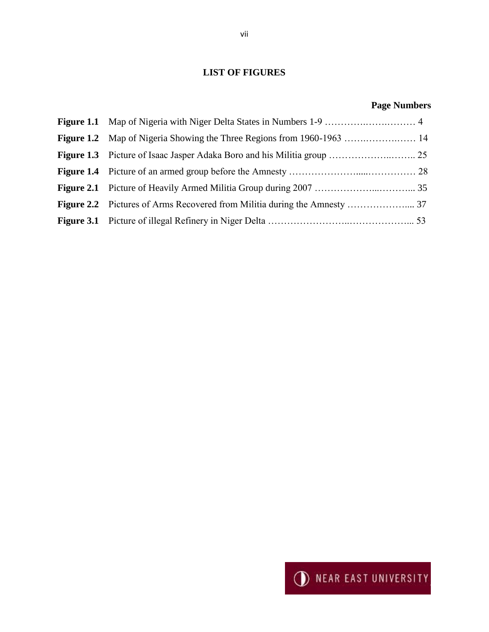## **LIST OF FIGURES**

## **Page Numbers**



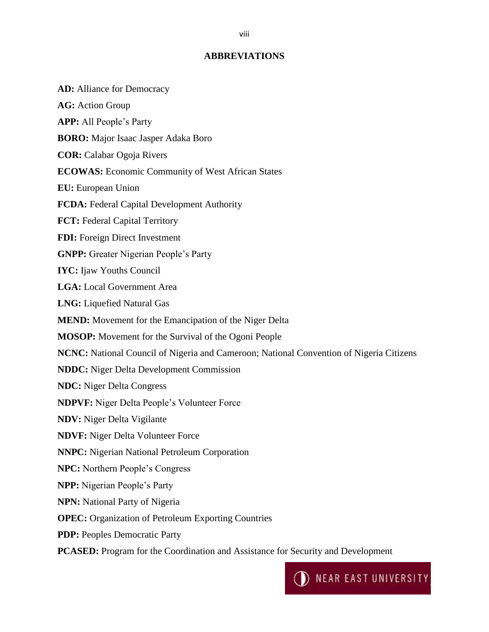#### **ABBREVIATIONS**

**AD:** Alliance for Democracy **AG:** Action Group **APP:** All People's Party **BORO:** Major Isaac Jasper Adaka Boro **COR:** Calabar Ogoja Rivers **ECOWAS:** Economic Community of West African States **EU:** European Union **FCDA:** Federal Capital Development Authority **FCT:** Federal Capital Territory **FDI:** Foreign Direct Investment **GNPP:** Greater Nigerian People's Party **IYC:** Ijaw Youths Council **LGA:** Local Government Area **LNG:** Liquefied Natural Gas **MEND:** Movement for the Emancipation of the Niger Delta **MOSOP:** Movement for the Survival of the Ogoni People **NCNC:** National Council of Nigeria and Cameroon; National Convention of Nigeria Citizens **NDDC:** Niger Delta Development Commission **NDC:** Niger Delta Congress **NDPVF:** Niger Delta People's Volunteer Force **NDV:** Niger Delta Vigilante **NDVF:** Niger Delta Volunteer Force **NNPC:** Nigerian National Petroleum Corporation **NPC:** Northern People's Congress **NPP:** Nigerian People's Party **NPN:** National Party of Nigeria **OPEC:** Organization of Petroleum Exporting Countries **PDP:** Peoples Democratic Party **PCASED:** Program for the Coordination and Assistance for Security and Development